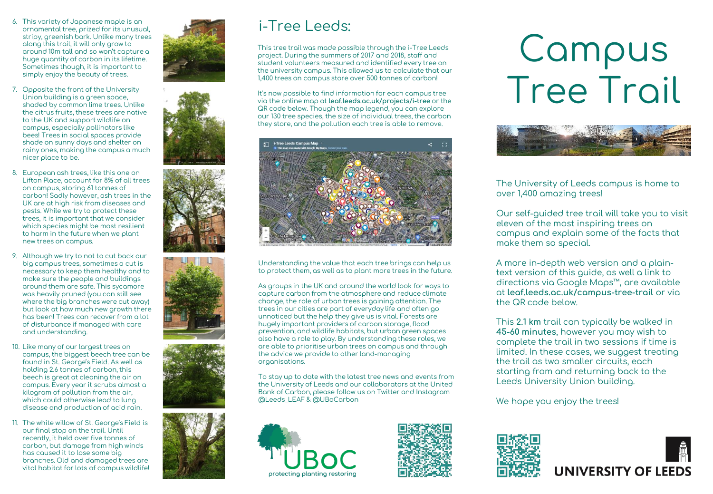- 6. This variety of Japanese maple is an ornamental tree, prized for its unusual, stripy, greenish bark. Unlike many trees along this trail, it will only grow to around 10m tall and so won't capture a huge quantity of carbon in its lifetime. Sometimes though, it is important to simply enjoy the beauty of trees.
- 7. Opposite the front of the University Union building is a green space, shaded by common lime trees. Unlike the citrus fruits, these trees are native to the UK and support wildlife on campus, especially pollinators like bees! Trees in social spaces provide shade on sunny days and shelter on rainy ones, making the campus a much nicer place to be.
- 8. European ash trees, like this one on Lifton Place, account for 8% of all trees on campus, storing 61 tonnes of carbon! Sadly however, ash trees in the UK are at high risk from diseases and pests. While we try to protect these trees, it is important that we consider which species might be most resilient to harm in the future when we plant new trees on campus.
- 9. Although we try to not to cut back our big campus trees, sometimes a cut is necessary to keep them healthy and to make sure the people and buildings around them are safe. This sycamore was heavily pruned (you can still see where the big branches were cut away) but look at how much new growth there has been! Trees can recover from a lot of disturbance if managed with care and understanding.
- 10. Like many of our largest trees on campus, the biggest beech tree can be found in St. George's Field. As well as holding 2.6 tonnes of carbon, this beech is great at cleaning the air on campus. Every year it scrubs almost a kilogram of pollution from the air, which could otherwise lead to lung disease and production of acid rain.
- 11. The white willow of St. George's Field is our final stop on the trail. Until recently, it held over five tonnes of carbon, but damage from high winds has caused it to lose some big branches. Old and damaged trees are vital habitat for lots of campus wildlife!



This tree trail was made possible through the i -Tree Leeds project. During the summers of 2017 and 2018, staff and student volunteers measured and identified every tree on the university campus. This allowed us to calculate that our 1,400 trees on campus store over 500 tonnes of carbon!

It's now possible to find information for each campus tree via the online map at **leaf.leeds.ac.uk/projects/ i -tree** or the QR code below. Though the map legend, you can explore our 130 tree species, the size of individual trees, the carbon **i–Tree Leeds:**<br>This tree trail was made possible through the i-Tree Leeds project. During the summers of 2017 and 2018, staff and<br>student volunteers measured and identified every tree of<br>the university campus. This allow



Understanding the value that each tree brings can help us to protect them, as well as to plant more trees in the future.

As groups in the UK and around the world look for ways to capture carbon from the atmosphere and reduce climate change, the role of urban trees is gaining attention. The trees in our cities are part of everyday life and often go unnoticed but the help they give us is vital. Forests are hugely important providers of carbon storage, flood prevention, and wildlife habitats, but urban green spaces also have a role to play. By understanding these roles, we are able to prioritise urban trees on campus and through the advice we provide to other land -managing organisations.

To stay up to date with the latest tree news and events from the University of Leeds and our collaborators at the United Bank of Carbon, please follow us on Twitter and Instagram @Leeds\_LEAF & @UBoCarbon





## Campus Tree Trail



The University of Leeds campus is home to over 1,400 amazing trees!

Our self -guided tree trail will take you to visit eleven of the most inspiring trees on campus and explain some of the facts that make them so special.

A more in -depth web version and a plain text version of this guide, as well a link to directions via Google Maps™, are available at **leaf.leeds.ac.uk/campus -tree -trail** or via the QR code below.

This **2.1 km** trail can typically be walked in **45 -60 minutes**, however you may wish to complete the trail in two sessions if time is limited. In these cases, we suggest treating the trail as two smaller circuits, each starting from and returning back to the Leeds University Union building.

We hope you enjoy the trees!